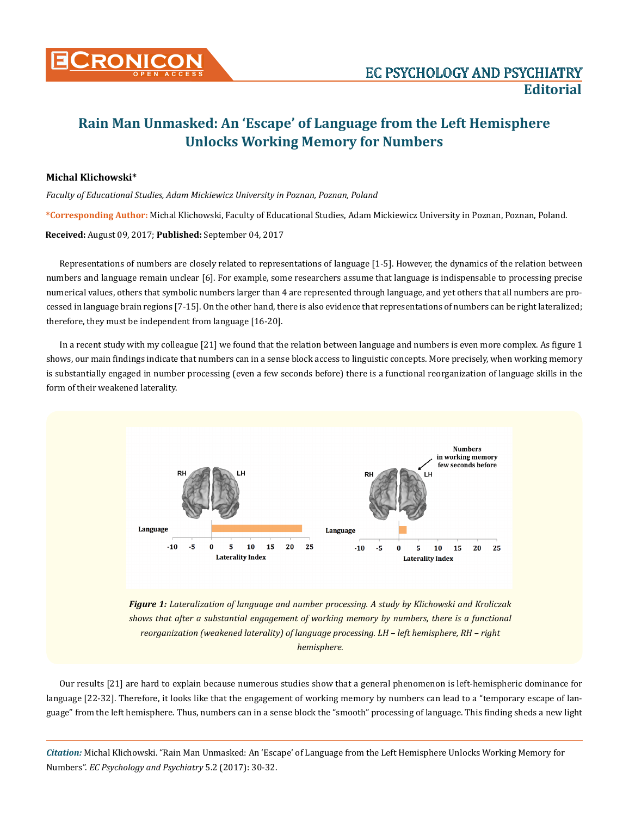

## **Rain Man Unmasked: An 'Escape' of Language from the Left Hemisphere Unlocks Working Memory for Numbers**

## **Michal Klichowski\***

*Faculty of Educational Studies, Adam Mickiewicz University in Poznan, Poznan, Poland*

**\*Corresponding Author:** Michal Klichowski, Faculty of Educational Studies, Adam Mickiewicz University in Poznan, Poznan, Poland.

**Received:** August 09, 2017; **Published:** September 04, 2017

Representations of numbers are closely related to representations of language [1-5]. However, the dynamics of the relation between numbers and language remain unclear [6]. For example, some researchers assume that language is indispensable to processing precise numerical values, others that symbolic numbers larger than 4 are represented through language, and yet others that all numbers are processed in language brain regions [7-15]. On the other hand, there is also evidence that representations of numbers can be right lateralized; therefore, they must be independent from language [16-20].

In a recent study with my colleague [21] we found that the relation between language and numbers is even more complex. As figure 1 shows, our main findings indicate that numbers can in a sense block access to linguistic concepts. More precisely, when working memory is substantially engaged in number processing (even a few seconds before) there is a functional reorganization of language skills in the form of their weakened laterality.



*reorganization (weakened laterality) of language processing. LH – left hemisphere, RH – right hemisphere.*

Our results [21] are hard to explain because numerous studies show that a general phenomenon is left-hemispheric dominance for language [22-32]. Therefore, it looks like that the engagement of working memory by numbers can lead to a "temporary escape of language" from the left hemisphere. Thus, numbers can in a sense block the "smooth" processing of language. This finding sheds a new light

*Citation:* Michal Klichowski. "Rain Man Unmasked: An 'Escape' of Language from the Left Hemisphere Unlocks Working Memory for Numbers". *EC Psychology and Psychiatry* 5.2 (2017): 30-32.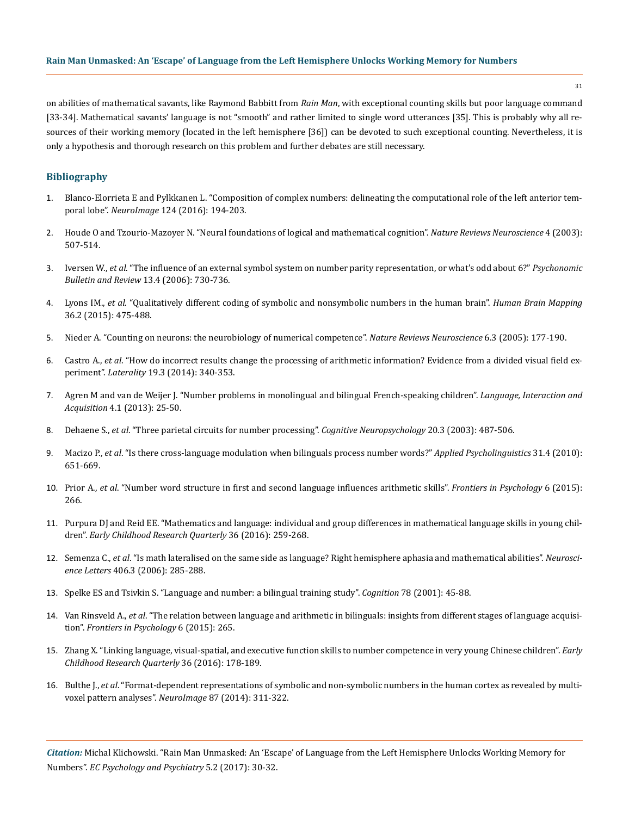## **Rain Man Unmasked: An 'Escape' of Language from the Left Hemisphere Unlocks Working Memory for Numbers**

on abilities of mathematical savants, like Raymond Babbitt from *Rain Man*, with exceptional counting skills but poor language command [33-34]. Mathematical savants' language is not "smooth" and rather limited to single word utterances [35]. This is probably why all resources of their working memory (located in the left hemisphere [36]) can be devoted to such exceptional counting. Nevertheless, it is only a hypothesis and thorough research on this problem and further debates are still necessary.

## **Bibliography**

- 1. [Blanco-Elorrieta E and Pylkkanen L. "Composition of complex numbers: delineating the computational role of the left anterior tem](https://www.ncbi.nlm.nih.gov/pubmed/26325329)poral lobe". *NeuroImage* [124 \(2016\): 194-203.](https://www.ncbi.nlm.nih.gov/pubmed/26325329)
- 2. [Houde O and Tzourio-Mazoyer N. "Neural foundations of logical and mathematical cognition".](http://www.nature.com/nrn/journal/v4/n6/abs/nrn1117.html?foxtrotcallback=true) *Nature Reviews Neuroscience* 4 (2003): [507-514.](http://www.nature.com/nrn/journal/v4/n6/abs/nrn1117.html?foxtrotcallback=true)
- 3. Iversen W., *et al*[. "The influence of an external symbol system on number parity representation, or what's odd about 6?"](https://www.ncbi.nlm.nih.gov/pubmed/17201377) *Psychonomic Bulletin and Review* [13.4 \(2006\): 730-736.](https://www.ncbi.nlm.nih.gov/pubmed/17201377)
- 4. Lyons IM., *et al*[. "Qualitatively different coding of symbolic and nonsymbolic numbers in the human brain".](https://www.ncbi.nlm.nih.gov/pubmed/25238646) *Human Brain Mapping* [36.2 \(2015\): 475-488.](https://www.ncbi.nlm.nih.gov/pubmed/25238646)
- 5. [Nieder A. "Counting on neurons: the neurobiology of numerical competence".](file:///C:/Users/Designer/Desktop/ECPP-17-ED-189/Counting%20on%20neurons:%20the%20neurobiology%20of%20numerical%20competence) *Nature Reviews Neuroscience* 6.3 (2005): 177-190.
- 6. Castro A., *et al*[. "How do incorrect results change the processing of arithmetic information? Evidence from a divided visual field ex](https://www.ncbi.nlm.nih.gov/pubmed/23988195)periment". *Laterality* [19.3 \(2014\): 340-353.](https://www.ncbi.nlm.nih.gov/pubmed/23988195)
- 7. Agren M and van de Weijer J. "Number problems in monolingual and bilingual French-speaking children". *Language, Interaction and Acquisition* 4.1 (2013): 25-50.
- 8. Dehaene S., *et al*[. "Three parietal circuits for number processing".](https://www.ncbi.nlm.nih.gov/pubmed/20957581) *Cognitive Neuropsychology* 20.3 (2003): 487-506.
- 9. Macizo P., *et al*[. "Is there cross-language modulation when bilinguals process number words?"](https://www.cambridge.org/core/journals/applied-psycholinguistics/article/is-there-cross-language-modulation-when-bilinguals-process-number-words/FF4072885FEF861DE06B705959400C8A) *Applied Psycholinguistics* 31.4 (2010): [651-669.](https://www.cambridge.org/core/journals/applied-psycholinguistics/article/is-there-cross-language-modulation-when-bilinguals-process-number-words/FF4072885FEF861DE06B705959400C8A)
- 10. Prior A., *et al*[. "Number word structure in first and second language influences arithmetic skills".](https://www.ncbi.nlm.nih.gov/pmc/articles/PMC4362083/) *Frontiers in Psychology* 6 (2015): [266.](https://www.ncbi.nlm.nih.gov/pmc/articles/PMC4362083/)
- 11. [Purpura DJ and Reid EE. "Mathematics and language: individual and group differences in mathematical language skills in young chil](http://www.sciencedirect.com/science/article/pii/S0885200615300405)dren". *[Early Childhood Research Quarterly](http://www.sciencedirect.com/science/article/pii/S0885200615300405)* 36 (2016): 259-268.
- 12. Semenza C., *et al*[. "Is math lateralised on the same side as language? Right hemisphere aphasia and mathematical abilities".](https://www.ncbi.nlm.nih.gov/pubmed/16930841) *Neuroscience Letters* [406.3 \(2006\): 285-288.](https://www.ncbi.nlm.nih.gov/pubmed/16930841)
- 13. [Spelke ES and Tsivkin S. "Language and number: a bilingual training study".](https://www.ncbi.nlm.nih.gov/pubmed/11062322) *Cognition* 78 (2001): 45-88.
- 14. Van Rinsveld A., *et al*[. "The relation between language and arithmetic in bilinguals: insights from different stages of language acquisi](https://www.ncbi.nlm.nih.gov/pubmed/25821442)tion". *[Frontiers in Psychology](https://www.ncbi.nlm.nih.gov/pubmed/25821442)* 6 (2015): 265.
- 15. [Zhang X. "Linking language, visual-spatial, and executive function skills to number competence in very young Chinese children".](http://www.sciencedirect.com/science/article/pii/S0885200615300302) *Early [Childhood Research Quarterly](http://www.sciencedirect.com/science/article/pii/S0885200615300302)* 36 (2016): 178-189.
- 16. Bulthe J., *et al*[. "Format-dependent representations of symbolic and non-symbolic numbers in the human cortex as revealed by multi](https://www.ncbi.nlm.nih.gov/pubmed/24201011)[voxel pattern analyses".](https://www.ncbi.nlm.nih.gov/pubmed/24201011) *NeuroImage* 87 (2014): 311-322.

*Citation:* Michal Klichowski. "Rain Man Unmasked: An 'Escape' of Language from the Left Hemisphere Unlocks Working Memory for Numbers". *EC Psychology and Psychiatry* 5.2 (2017): 30-32.

31